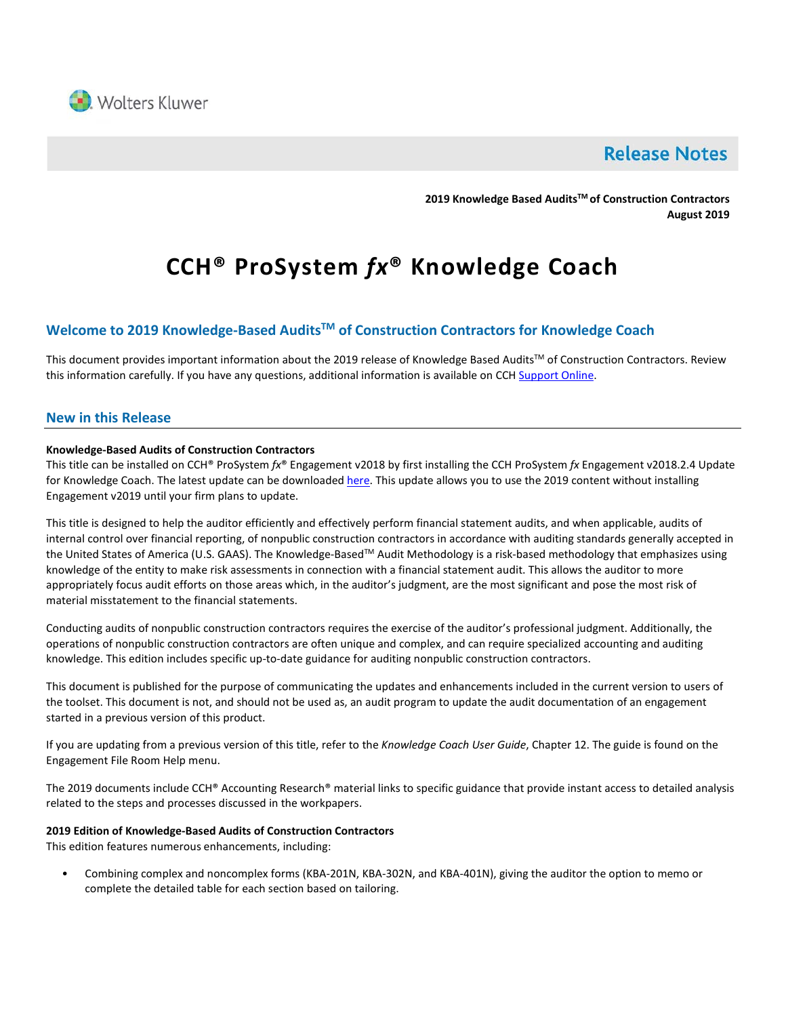

## **Release Notes**

**2019 Knowledge Based AuditsTM of Construction Contractors August 2019**

# **CCH® ProSystem** *fx***® Knowledge Coach**

### **Welcome to 2019 Knowledge-Based AuditsTM of Construction Contractors for Knowledge Coach**

This document provides important information about the 2019 release of Knowledge Based Audits™ of Construction Contractors. Review this information carefully. If you have any questions, additional information is available on CC[H Support Online.](http://support.cch.com/productsupport/)

#### **New in this Release**

#### **Knowledge-Based Audits of Construction Contractors**

This title can be installed on CCH® ProSystem *fx*® Engagement v2018 by first installing the CCH ProSystem *fx* Engagement v2018.2.4 Update for Knowledge Coach. The latest update can be downloade[d here.](https://support.cch.com/updates/Engagement/release2018/release2018.aspx) This update allows you to use the 2019 content without installing Engagement v2019 until your firm plans to update.

This title is designed to help the auditor efficiently and effectively perform financial statement audits, and when applicable, audits of internal control over financial reporting, of nonpublic construction contractors in accordance with auditing standards generally accepted in the United States of America (U.S. GAAS). The Knowledge-Based™ Audit Methodology is a risk-based methodology that emphasizes using knowledge of the entity to make risk assessments in connection with a financial statement audit. This allows the auditor to more appropriately focus audit efforts on those areas which, in the auditor's judgment, are the most significant and pose the most risk of material misstatement to the financial statements.

Conducting audits of nonpublic construction contractors requires the exercise of the auditor's professional judgment. Additionally, the operations of nonpublic construction contractors are often unique and complex, and can require specialized accounting and auditing knowledge. This edition includes specific up-to-date guidance for auditing nonpublic construction contractors.

This document is published for the purpose of communicating the updates and enhancements included in the current version to users of the toolset. This document is not, and should not be used as, an audit program to update the audit documentation of an engagement started in a previous version of this product.

If you are updating from a previous version of this title, refer to the *Knowledge Coach User Guide*, Chapter 12. The guide is found on the Engagement File Room Help menu.

The 2019 documents include CCH® Accounting Research® material links to specific guidance that provide instant access to detailed analysis related to the steps and processes discussed in the workpapers.

#### **2019 Edition of Knowledge-Based Audits of Construction Contractors**

This edition features numerous enhancements, including:

• Combining complex and noncomplex forms (KBA-201N, KBA-302N, and KBA-401N), giving the auditor the option to memo or complete the detailed table for each section based on tailoring.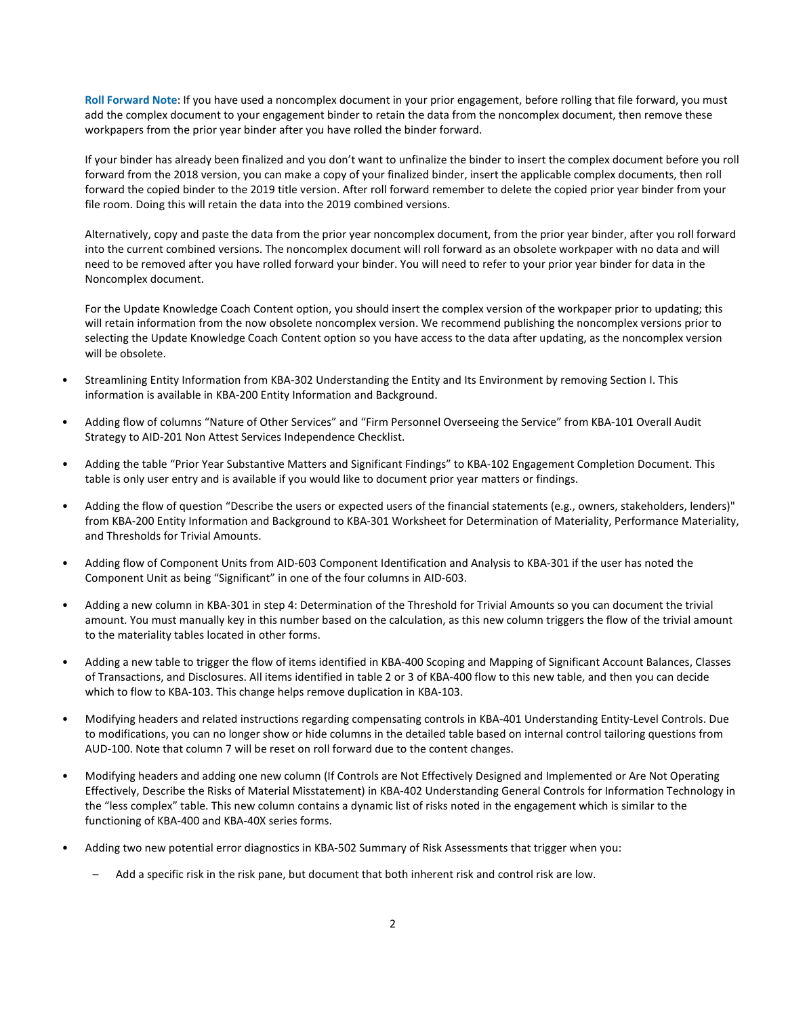**Roll Forward Note**: If you have used a noncomplex document in your prior engagement, before rolling that file forward, you must add the complex document to your engagement binder to retain the data from the noncomplex document, then remove these workpapers from the prior year binder after you have rolled the binder forward.

If your binder has already been finalized and you don't want to unfinalize the binder to insert the complex document before you roll forward from the 2018 version, you can make a copy of your finalized binder, insert the applicable complex documents, then roll forward the copied binder to the 2019 title version. After roll forward remember to delete the copied prior year binder from your file room. Doing this will retain the data into the 2019 combined versions.

Alternatively, copy and paste the data from the prior year noncomplex document, from the prior year binder, after you roll forward into the current combined versions. The noncomplex document will roll forward as an obsolete workpaper with no data and will need to be removed after you have rolled forward your binder. You will need to refer to your prior year binder for data in the Noncomplex document.

For the Update Knowledge Coach Content option, you should insert the complex version of the workpaper prior to updating; this will retain information from the now obsolete noncomplex version. We recommend publishing the noncomplex versions prior to selecting the Update Knowledge Coach Content option so you have access to the data after updating, as the noncomplex version will be obsolete.

- Streamlining Entity Information from KBA-302 Understanding the Entity and Its Environment by removing Section I. This information is available in KBA-200 Entity Information and Background.
- Adding flow of columns "Nature of Other Services" and "Firm Personnel Overseeing the Service" from KBA-101 Overall Audit Strategy to AID-201 Non Attest Services Independence Checklist.
- Adding the table "Prior Year Substantive Matters and Significant Findings" to KBA-102 Engagement Completion Document. This table is only user entry and is available if you would like to document prior year matters or findings.
- Adding the flow of question "Describe the users or expected users of the financial statements (e.g., owners, stakeholders, lenders)" from KBA-200 Entity Information and Background to KBA-301 Worksheet for Determination of Materiality, Performance Materiality, and Thresholds for Trivial Amounts.
- Adding flow of Component Units from AID-603 Component Identification and Analysis to KBA-301 if the user has noted the Component Unit as being "Significant" in one of the four columns in AID-603.
- Adding a new column in KBA-301 in step 4: Determination of the Threshold for Trivial Amounts so you can document the trivial amount. You must manually key in this number based on the calculation, as this new column triggers the flow of the trivial amount to the materiality tables located in other forms.
- Adding a new table to trigger the flow of items identified in KBA-400 Scoping and Mapping of Significant Account Balances, Classes of Transactions, and Disclosures. All items identified in table 2 or 3 of KBA-400 flow to this new table, and then you can decide which to flow to KBA-103. This change helps remove duplication in KBA-103.
- Modifying headers and related instructions regarding compensating controls in KBA-401 Understanding Entity-Level Controls. Due to modifications, you can no longer show or hide columns in the detailed table based on internal control tailoring questions from AUD-100. Note that column 7 will be reset on roll forward due to the content changes.
- Modifying headers and adding one new column (If Controls are Not Effectively Designed and Implemented or Are Not Operating Effectively, Describe the Risks of Material Misstatement) in KBA-402 Understanding General Controls for Information Technology in the "less complex" table. This new column contains a dynamic list of risks noted in the engagement which is similar to the functioning of KBA-400 and KBA-40X series forms.
- Adding two new potential error diagnostics in KBA-502 Summary of Risk Assessments that trigger when you:
	- Add a specific risk in the risk pane, but document that both inherent risk and control risk are low.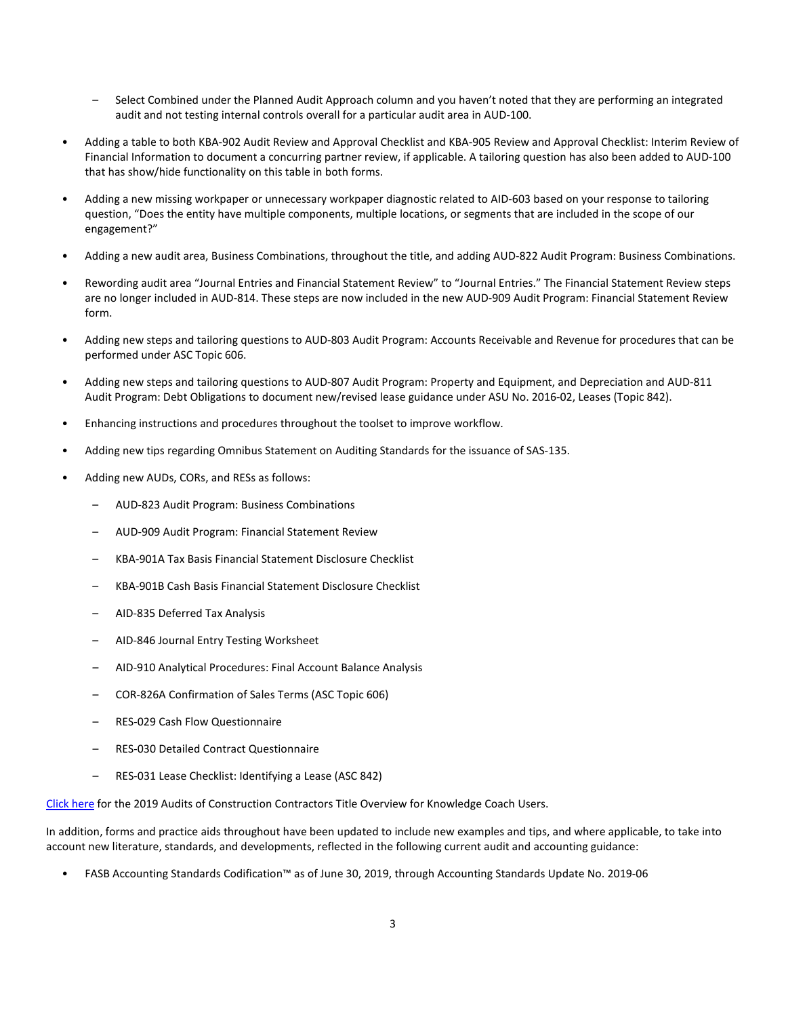- Select Combined under the Planned Audit Approach column and you haven't noted that they are performing an integrated audit and not testing internal controls overall for a particular audit area in AUD-100.
- Adding a table to both KBA-902 Audit Review and Approval Checklist and KBA-905 Review and Approval Checklist: Interim Review of Financial Information to document a concurring partner review, if applicable. A tailoring question has also been added to AUD-100 that has show/hide functionality on this table in both forms.
- Adding a new missing workpaper or unnecessary workpaper diagnostic related to AID-603 based on your response to tailoring question, "Does the entity have multiple components, multiple locations, or segments that are included in the scope of our engagement?"
- Adding a new audit area, Business Combinations, throughout the title, and adding AUD-822 Audit Program: Business Combinations.
- Rewording audit area "Journal Entries and Financial Statement Review" to "Journal Entries." The Financial Statement Review steps are no longer included in AUD-814. These steps are now included in the new AUD-909 Audit Program: Financial Statement Review form.
- Adding new steps and tailoring questions to AUD-803 Audit Program: Accounts Receivable and Revenue for procedures that can be performed under ASC Topic 606.
- Adding new steps and tailoring questions to AUD-807 Audit Program: Property and Equipment, and Depreciation and AUD-811 Audit Program: Debt Obligations to document new/revised lease guidance under ASU No. 2016-02, Leases (Topic 842).
- Enhancing instructions and procedures throughout the toolset to improve workflow.
- Adding new tips regarding Omnibus Statement on Auditing Standards for the issuance of SAS-135.
- Adding new AUDs, CORs, and RESs as follows:
	- AUD-823 Audit Program: Business Combinations
	- AUD-909 Audit Program: Financial Statement Review
	- KBA-901A Tax Basis Financial Statement Disclosure Checklist
	- KBA-901B Cash Basis Financial Statement Disclosure Checklist
	- AID-835 Deferred Tax Analysis
	- AID-846 Journal Entry Testing Worksheet
	- AID-910 Analytical Procedures: Final Account Balance Analysis
	- COR-826A Confirmation of Sales Terms (ASC Topic 606)
	- RES-029 Cash Flow Questionnaire
	- RES-030 Detailed Contract Questionnaire
	- RES-031 Lease Checklist: Identifying a Lease (ASC 842)

[Click here](http://support.cch.com/updates/KnowledgeCoach/pdf/guides_tab/2019%20Construction%20Entities%20Title%20Overview%20for%20Knowledge%20Coach%20Users.pdf) for the 2019 Audits of Construction Contractors Title Overview for Knowledge Coach Users.

In addition, forms and practice aids throughout have been updated to include new examples and tips, and where applicable, to take into account new literature, standards, and developments, reflected in the following current audit and accounting guidance:

• FASB Accounting Standards Codification™ as of June 30, 2019, through Accounting Standards Update No. 2019-06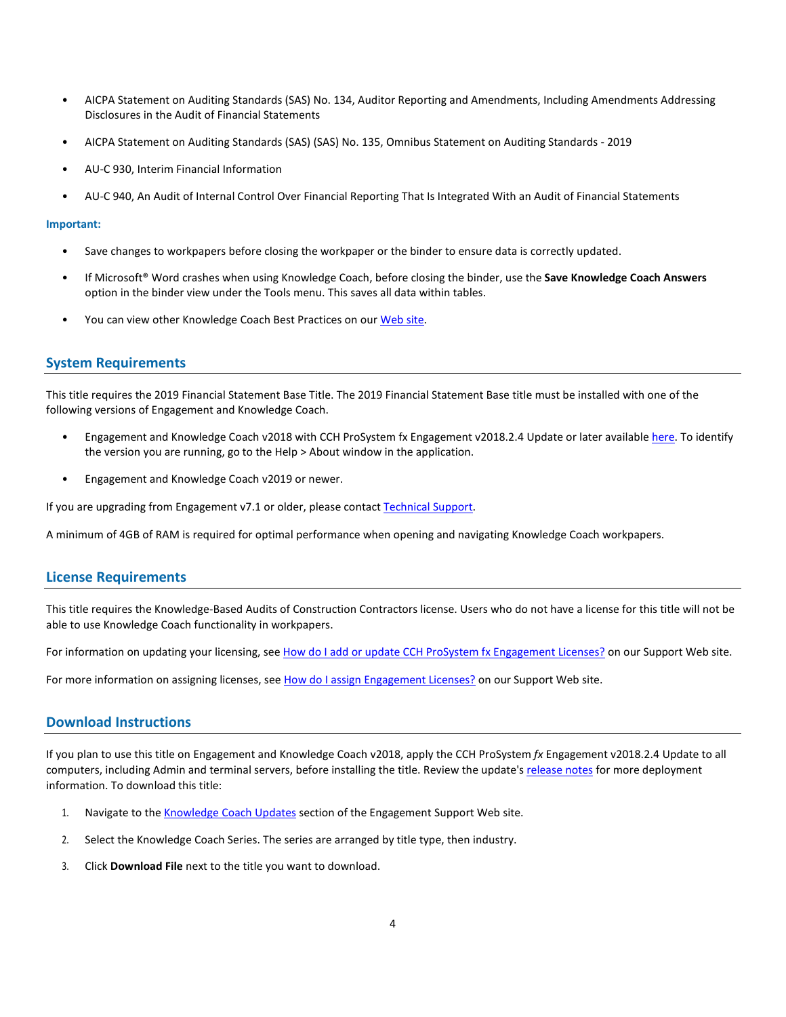- AICPA Statement on Auditing Standards (SAS) No. 134, Auditor Reporting and Amendments, Including Amendments Addressing Disclosures in the Audit of Financial Statements
- AICPA Statement on Auditing Standards (SAS) (SAS) No. 135, Omnibus Statement on Auditing Standards 2019
- AU-C 930, Interim Financial Information
- AU-C 940, An Audit of Internal Control Over Financial Reporting That Is Integrated With an Audit of Financial Statements

#### **Important:**

- Save changes to workpapers before closing the workpaper or the binder to ensure data is correctly updated.
- If Microsoft® Word crashes when using Knowledge Coach, before closing the binder, use the **Save Knowledge Coach Answers** option in the binder view under the Tools menu. This saves all data within tables.
- You can view other Knowledge Coach Best Practices on ou[r Web](https://support.cch.com/kb/solution/000034942/sw34947) site.

#### **System Requirements**

This title requires the 2019 Financial Statement Base Title. The 2019 Financial Statement Base title must be installed with one of the following versions of Engagement and Knowledge Coach.

- Engagement and Knowledge Coach v2018 with CCH ProSystem fx Engagement v2018.2.4 Update or later available [here.](https://support.cch.com/updates/Engagement/release2018/release2018.aspx) To identify the version you are running, go to the Help > About window in the application.
- Engagement and Knowledge Coach v2019 or newer.

If you are upgrading from Engagement v7.1 or older, please contact [Technical Support.](https://support.cch.com/contact)

A minimum of 4GB of RAM is required for optimal performance when opening and navigating Knowledge Coach workpapers.

#### **License Requirements**

This title requires the Knowledge-Based Audits of Construction Contractors license. Users who do not have a license for this title will not be able to use Knowledge Coach functionality in workpapers.

For information on updating your licensing, see [How do I add or update CCH ProSystem fx Engagement Licenses?](https://support.cch.com/kb/solution.aspx/sw3937) on our Support Web site.

For more information on assigning licenses, see [How do I assign Engagement Licenses?](https://support.cch.com/kb/solution.aspx/sw3943) on our Support Web site.

#### **Download Instructions**

If you plan to use this title on Engagement and Knowledge Coach v2018, apply the CCH ProSystem *fx* Engagement v2018.2.4 Update to all computers, including Admin and terminal servers, before installing the title. Review the update's [release notes](https://d2iceilwdglxpz.cloudfront.net/release_notes/CCH%20ProSystem%20fx%20Engagement%202018.2.4%20Release%20Notes.pdf) for more deployment information. To download this title:

- 1. Navigate to the [Knowledge Coach Updates](http://support.cch.com/updates/KnowledgeCoach) section of the Engagement Support Web site.
- 2. Select the Knowledge Coach Series. The series are arranged by title type, then industry.
- 3. Click **Download File** next to the title you want to download.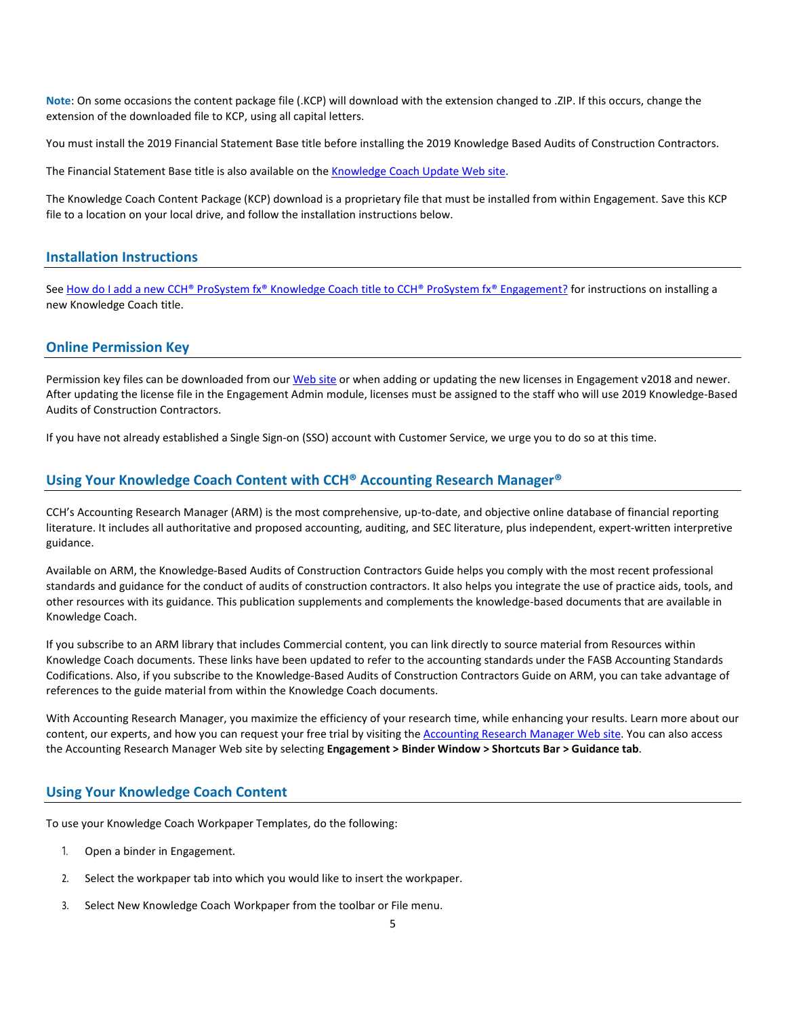**Note**: On some occasions the content package file (.KCP) will download with the extension changed to .ZIP. If this occurs, change the extension of the downloaded file to KCP, using all capital letters.

You must install the 2019 Financial Statement Base title before installing the 2019 Knowledge Based Audits of Construction Contractors.

The Financial Statement Base title is also available on th[e Knowledge Coach Update Web](http://support.cch.com/updates/KnowledgeCoach) site.

The Knowledge Coach Content Package (KCP) download is a proprietary file that must be installed from within Engagement. Save this KCP file to a location on your local drive, and follow the installation instructions below.

#### **Installation Instructions**

See [How do I add a new CCH® ProSystem fx® Knowledge Coach title to CCH® ProSystem fx® Engagement?](https://support.cch.com/kb/solution/000033707/sw30271) for instructions on installing a new Knowledge Coach title.

#### **Online Permission Key**

Permission key files can be downloaded from ou[r Web](https://prosystemfxsupport.tax.cchgroup.com/permkey/download.aspx) site or when adding or updating the new licenses in Engagement v2018 and newer. After updating the license file in the Engagement Admin module, licenses must be assigned to the staff who will use 2019 Knowledge-Based Audits of Construction Contractors.

If you have not already established a Single Sign-on (SSO) account with Customer Service, we urge you to do so at this time.

#### **Using Your Knowledge Coach Content with CCH® Accounting Research Manager®**

CCH's Accounting Research Manager (ARM) is the most comprehensive, up-to-date, and objective online database of financial reporting literature. It includes all authoritative and proposed accounting, auditing, and SEC literature, plus independent, expert-written interpretive guidance.

Available on ARM, the Knowledge-Based Audits of Construction Contractors Guide helps you comply with the most recent professional standards and guidance for the conduct of audits of construction contractors. It also helps you integrate the use of practice aids, tools, and other resources with its guidance. This publication supplements and complements the knowledge-based documents that are available in Knowledge Coach.

If you subscribe to an ARM library that includes Commercial content, you can link directly to source material from Resources within Knowledge Coach documents. These links have been updated to refer to the accounting standards under the FASB Accounting Standards Codifications. Also, if you subscribe to the Knowledge-Based Audits of Construction Contractors Guide on ARM, you can take advantage of references to the guide material from within the Knowledge Coach documents.

With Accounting Research Manager, you maximize the efficiency of your research time, while enhancing your results. Learn more about our content, our experts, and how you can request your free trial by visiting the [Accounting Research Manager Web](http://www.accountingresearchmanager.com/) site. You can also access the Accounting Research Manager Web site by selecting **Engagement > Binder Window > Shortcuts Bar > Guidance tab**.

#### **Using Your Knowledge Coach Content**

To use your Knowledge Coach Workpaper Templates, do the following:

- 1. Open a binder in Engagement.
- 2. Select the workpaper tab into which you would like to insert the workpaper.
- 3. Select New Knowledge Coach Workpaper from the toolbar or File menu.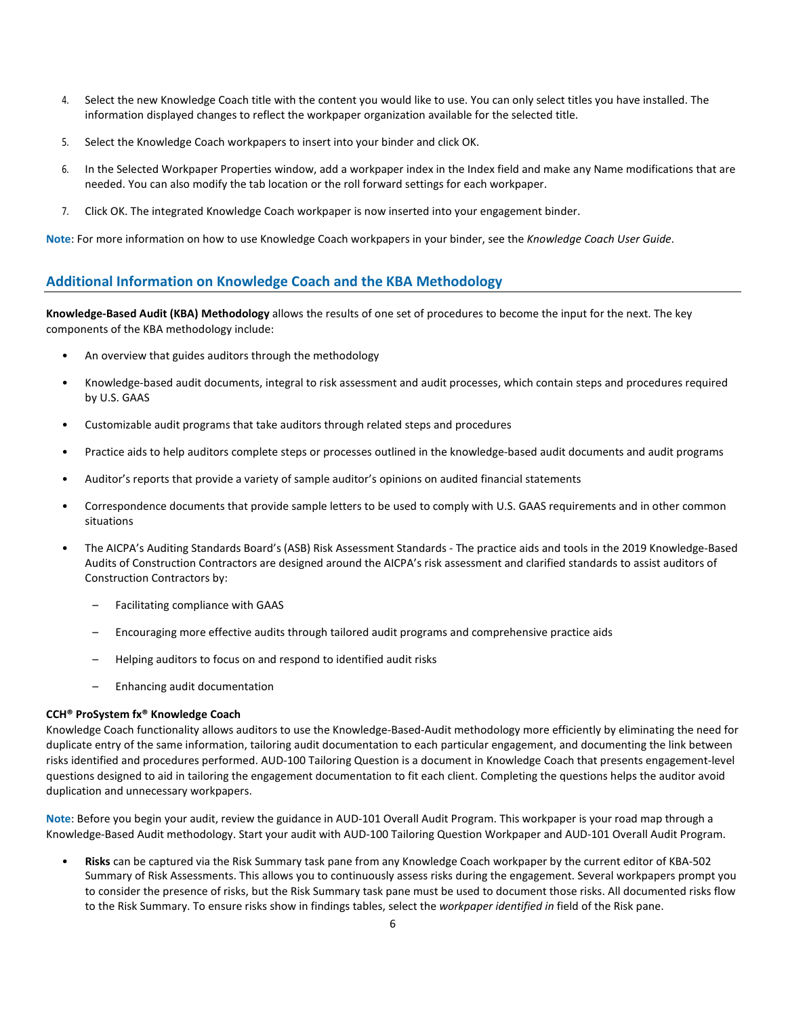- 4. Select the new Knowledge Coach title with the content you would like to use. You can only select titles you have installed. The information displayed changes to reflect the workpaper organization available for the selected title.
- 5. Select the Knowledge Coach workpapers to insert into your binder and click OK.
- 6. In the Selected Workpaper Properties window, add a workpaper index in the Index field and make any Name modifications that are needed. You can also modify the tab location or the roll forward settings for each workpaper.
- 7. Click OK. The integrated Knowledge Coach workpaper is now inserted into your engagement binder.

**Note**: For more information on how to use Knowledge Coach workpapers in your binder, see the *Knowledge Coach User Guide*.

#### **Additional Information on Knowledge Coach and the KBA Methodology**

**Knowledge-Based Audit (KBA) Methodology** allows the results of one set of procedures to become the input for the next. The key components of the KBA methodology include:

- An overview that guides auditors through the methodology
- Knowledge-based audit documents, integral to risk assessment and audit processes, which contain steps and procedures required by U.S. GAAS
- Customizable audit programs that take auditors through related steps and procedures
- Practice aids to help auditors complete steps or processes outlined in the knowledge-based audit documents and audit programs
- Auditor's reports that provide a variety of sample auditor's opinions on audited financial statements
- Correspondence documents that provide sample letters to be used to comply with U.S. GAAS requirements and in other common situations
- The AICPA's Auditing Standards Board's (ASB) Risk Assessment Standards The practice aids and tools in the 2019 Knowledge-Based Audits of Construction Contractors are designed around the AICPA's risk assessment and clarified standards to assist auditors of Construction Contractors by:
	- Facilitating compliance with GAAS
	- Encouraging more effective audits through tailored audit programs and comprehensive practice aids
	- Helping auditors to focus on and respond to identified audit risks
	- Enhancing audit documentation

#### **CCH® ProSystem fx® Knowledge Coach**

Knowledge Coach functionality allows auditors to use the Knowledge-Based-Audit methodology more efficiently by eliminating the need for duplicate entry of the same information, tailoring audit documentation to each particular engagement, and documenting the link between risks identified and procedures performed. AUD-100 Tailoring Question is a document in Knowledge Coach that presents engagement-level questions designed to aid in tailoring the engagement documentation to fit each client. Completing the questions helps the auditor avoid duplication and unnecessary workpapers.

**Note**: Before you begin your audit, review the guidance in AUD-101 Overall Audit Program. This workpaper is your road map through a Knowledge-Based Audit methodology. Start your audit with AUD-100 Tailoring Question Workpaper and AUD-101 Overall Audit Program.

• **Risks** can be captured via the Risk Summary task pane from any Knowledge Coach workpaper by the current editor of KBA-502 Summary of Risk Assessments. This allows you to continuously assess risks during the engagement. Several workpapers prompt you to consider the presence of risks, but the Risk Summary task pane must be used to document those risks. All documented risks flow to the Risk Summary. To ensure risks show in findings tables, select the *workpaper identified in* field of the Risk pane.